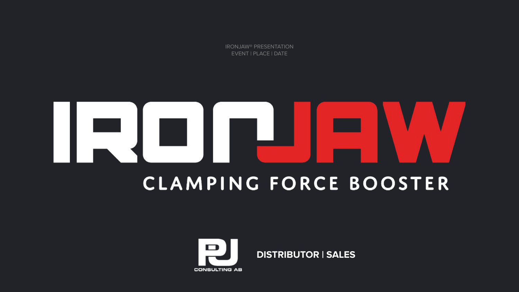IRONJAW® PRESENTATION EVENT | PLACE | DATE

# **CLAMPING FORCE BOOSTER**

**DISTRIBUTOR | SALES**

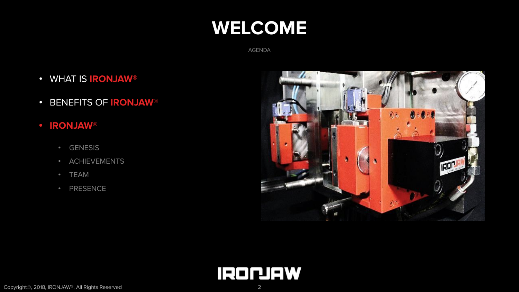# **WELCOME**

AGENDA

- WHAT IS **IRONJAW**®?
- BENEFITS OF **IRONJAW**®
- **•** IRONJAW®
	- GENESIS
	- ACHIEVEMENTS
	- TEAM
	- PRESENCE



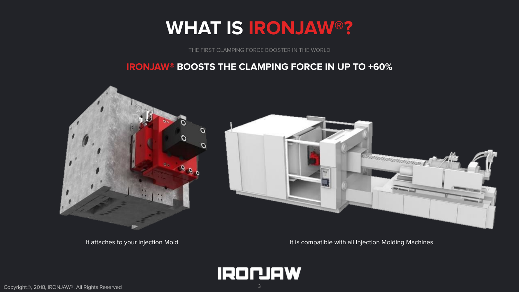# **WHAT IS IRONJAW®?**

THE FIRST CLAMPING FORCE BOOSTER IN THE WORLD

### **IRONJAW® BOOSTS THE CLAMPING FORCE IN UP TO +60%**



It attaches to your Injection Mold It is compatible with all Injection Molding Machines

**IRONIAW**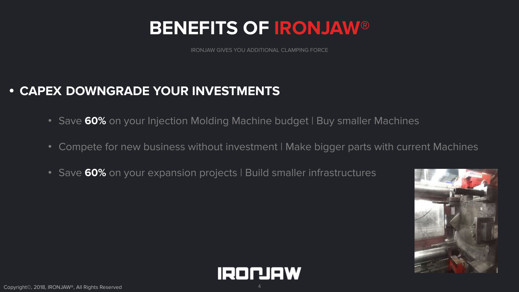IRONJAW GIVES YOU ADDITIONAL CLAMPING FORCE

### **• CAPEX DOWNGRADE YOUR INVESTMENTS**

- Save **60%** on your Injection Molding Machine budget | Buy smaller Machines
- Compete for new business without investment | Make bigger parts with current Machines
- Save 60% on your expansion projects | Build smaller infrastructures



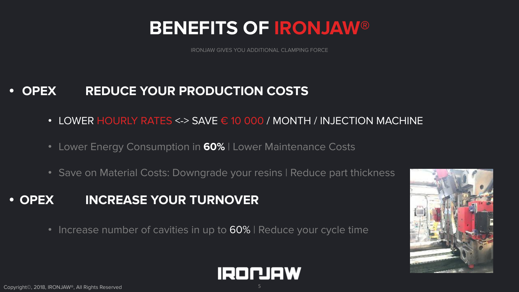IRONJAW GIVES YOU ADDITIONAL CLAMPING FORCE

### **• OPEX REDUCE YOUR PRODUCTION COSTS**

- LOWER HOURLY RATES <-> SAVE  $\epsilon$  10 000 / MONTH / INJECTION MACHINE
- Lower Energy Consumption in **60%** | Lower Maintenance Costs
- Save on Material Costs: Downgrade your resins | Reduce part thickness

### **• OPEX INCREASE YOUR TURNOVER**

• Increase number of cavities in up to 60% | Reduce your cycle time



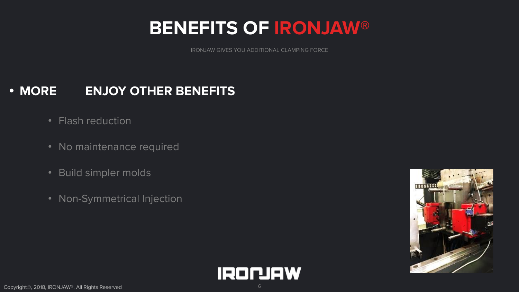IRONJAW GIVES YOU ADDITIONAL CLAMPING FORCE

### **• MORE ENJOY OTHER BENEFITS**

- Flash reduction
- No maintenance required
- Build simpler molds
- Non-Symmetrical Injection



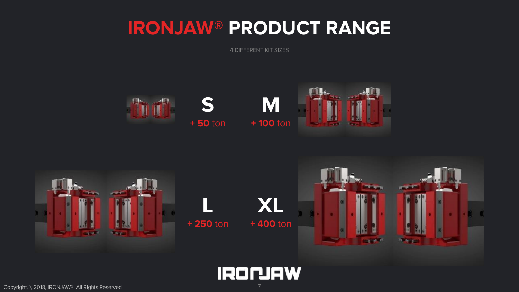# **IRONJAW® PRODUCT RANGE**

4 DIFFERENT KIT SIZES





**IRONIAW**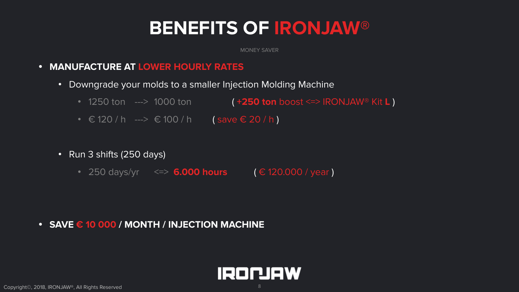MONEY SAVER

- **• MANUFACTURE AT LOWER HOURLY RATES**
	- Downgrade your molds to a smaller Injection Molding Machine
		- 1250 ton ---> 1000 ton **( +250 ton** boost <=> IRONJAW® Kit **L**)
		- $\in$  120 / h --->  $\in$  100 / h (save  $\in$  20 / h)
	- Run 3 shifts (250 days)
		- 250 days/yr <=> 6.000 hours (€ 120.000 / year)

### **• SAVE € 10 000 / MONTH / INJECTION MACHINE**

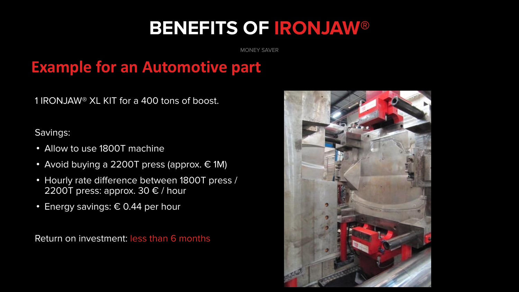MONEY SAVER

## **Example for an Automotive part**

1 IRONJAW® XL KIT for a 400 tons of boost.

### Savings:

- Allow to use 1800T machine
- Avoid buying a 2200T press (approx.  $\in$  1M)
- Hourly rate difference between 1800T press / 2200T press: approx. 30  $\epsilon$  / hour
- Energy savings:  $\epsilon$  0.44 per hour

Return on investment: less than 6 months

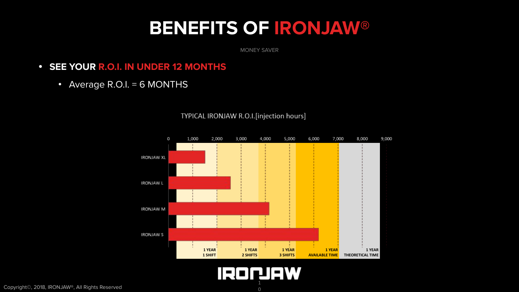MONEY SAVER

- **• SEE YOUR R.O.I. IN UNDER 12 MONTHS**
	- Average R.O.I. = 6 MONTHS



TYPICAL IRONJAW R.O.I.[injection hours]

# 1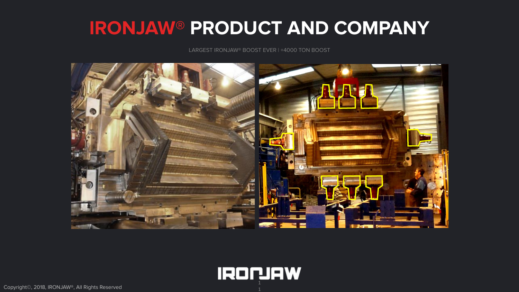# **IRONJAW® PRODUCT AND COMPANY**

LARGEST IRONJAW® BOOST EVER | +4000 TON BOOST



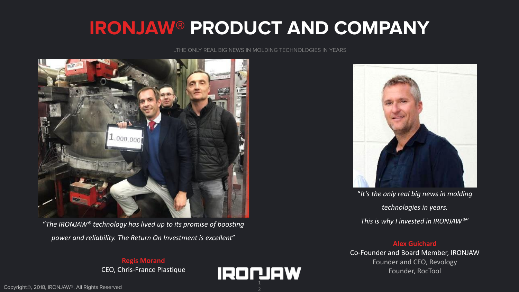# **IRONJAW® PRODUCT AND COMPANY**

### …THE ONLY REAL BIG NEWS IN MOLDING TECHNOLOGIES IN YEARS



"*The IRONJAW® technology has lived up to its promise of boosting power and reliability. The Return On Investment is excellent*"

### **Regis Morand** CEO, Chris-France Plastique





"*It's the only real big news in molding technologies in years. This is why I invested in IRONJAW®*"

### **Alex Guichard**

Co-Founder and Board Member, IRONJAW Founder and CEO, Revology Founder, RocTool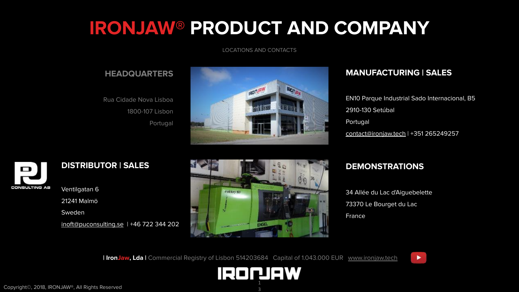# **IRONJAW® PRODUCT AND COMPANY**

LOCATIONS AND CONTACTS

### **HEADQUARTERS**

Rua Cidade Nova Lisboa 1800-107 Lisbon Portugal



### **MANUFACTURING | SALES**

EN10 Parque Industrial Sado Internacional, B5 2910-130 Setúbal Portugal [contact@ironjaw.tech](mailto:contact@ironjaw.tech) | +351 265249257



### **DISTRIBUTOR | SALES**

Ventilgatan 6 21241 Malmö Sweden [inoft@puconsulting.se](mailto:inoft@puconsulting.se) | +46 722 344 202



### **DEMONSTRATIONS**

34 Allée du Lac d'Aiguebelette 73370 Le Bourget du Lac France

**| IronJaw, Lda |** Commercial Registry of Lisbon 514203684 **|** Capital of 1.043.000 EUR **|** [www.ironjaw.tech](http://www.ironjaw.tech/) **| [|](https://www.youtube.com/watch?v=OfnaCTVc9C8)**

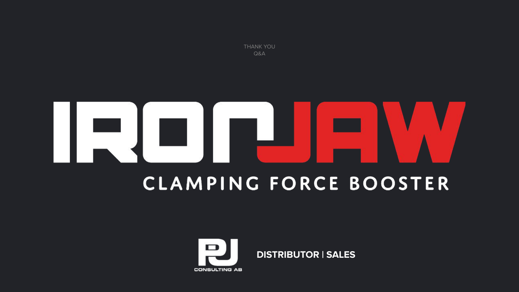THANK YOU Q&A

# н **CLAMPING FORCE BOOSTER**



**DISTRIBUTOR | SALES**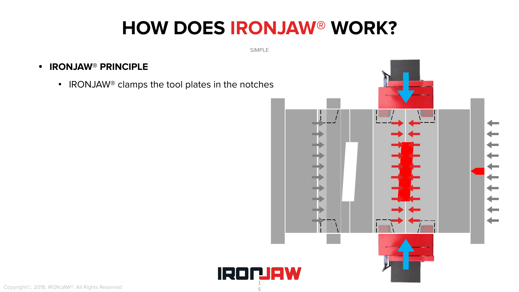# **HOW DOES IRONJAW® WORK?**

SIMPLE

1

### **• IRONJAW® PRINCIPLE**

• IRONJAW<sup>®</sup> clamps the tool plates in the notches